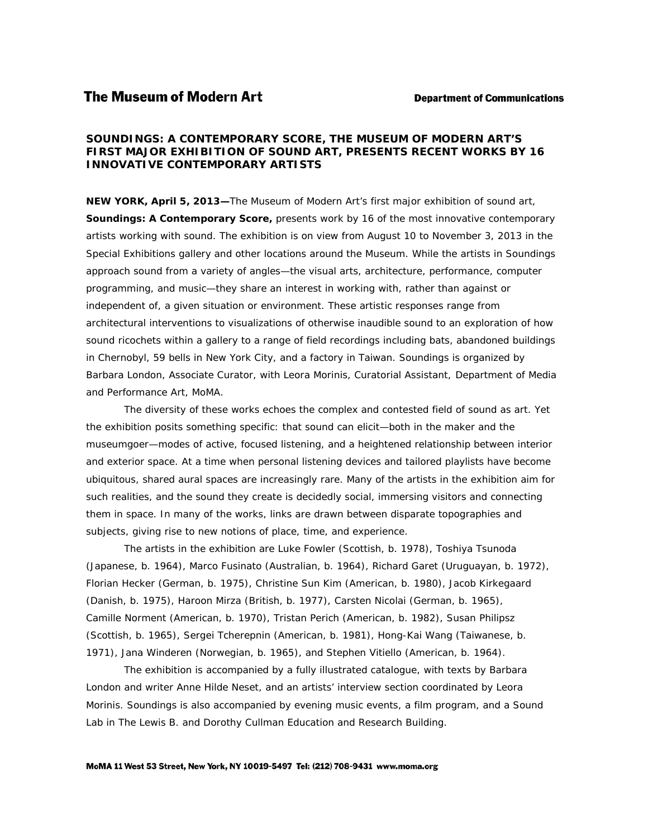## *SOUNDINGS: A CONTEMPORARY SCORE,* **THE MUSEUM OF MODERN ART'S FIRST MAJOR EXHIBITION OF SOUND ART, PRESENTS RECENT WORKS BY 16 INNOVATIVE CONTEMPORARY ARTISTS**

**NEW YORK, April 5, 2013—**The Museum of Modern Art's first major exhibition of sound art, *Soundings: A Contemporary Score,* presents work by 16 of the most innovative contemporary artists working with sound. The exhibition is on view from August 10 to November 3, 2013 in the Special Exhibitions gallery and other locations around the Museum. While the artists in *Soundings*  approach sound from a variety of angles—the visual arts, architecture, performance, computer programming, and music—they share an interest in working with, rather than against or independent of, a given situation or environment. These artistic responses range from architectural interventions to visualizations of otherwise inaudible sound to an exploration of how sound ricochets within a gallery to a range of field recordings including bats, abandoned buildings in Chernobyl, 59 bells in New York City, and a factory in Taiwan. *Soundings* is organized by Barbara London, Associate Curator, with Leora Morinis, Curatorial Assistant, Department of Media and Performance Art, MoMA.

The diversity of these works echoes the complex and contested field of sound as art. Yet the exhibition posits something specific: that sound can elicit—both in the maker and the museumgoer—modes of active, focused listening, and a heightened relationship between interior and exterior space. At a time when personal listening devices and tailored playlists have become ubiquitous, shared aural spaces are increasingly rare. Many of the artists in the exhibition aim for such realities, and the sound they create is decidedly social, immersing visitors and connecting them in space. In many of the works, links are drawn between disparate topographies and subjects, giving rise to new notions of place, time, and experience.

 The artists in the exhibition are Luke Fowler (Scottish, b. 1978), Toshiya Tsunoda (Japanese, b. 1964), Marco Fusinato (Australian, b. 1964), Richard Garet (Uruguayan, b. 1972), Florian Hecker (German, b. 1975), Christine Sun Kim (American, b. 1980), Jacob Kirkegaard (Danish, b. 1975), Haroon Mirza (British, b. 1977), Carsten Nicolai (German, b. 1965), Camille Norment (American, b. 1970), Tristan Perich (American, b. 1982), Susan Philipsz (Scottish, b. 1965), Sergei Tcherepnin (American, b. 1981), Hong-Kai Wang (Taiwanese, b. 1971), Jana Winderen (Norwegian, b. 1965), and Stephen Vitiello (American, b. 1964).

The exhibition is accompanied by a fully illustrated catalogue, with texts by Barbara London and writer Anne Hilde Neset, and an artists' interview section coordinated by Leora Morinis. *Soundings* is also accompanied by evening music events, a film program, and a Sound Lab in The Lewis B. and Dorothy Cullman Education and Research Building.

## MoMA 11 West 53 Street, New York, NY 10019-5497 Tel: (212) 708-9431 www.moma.org